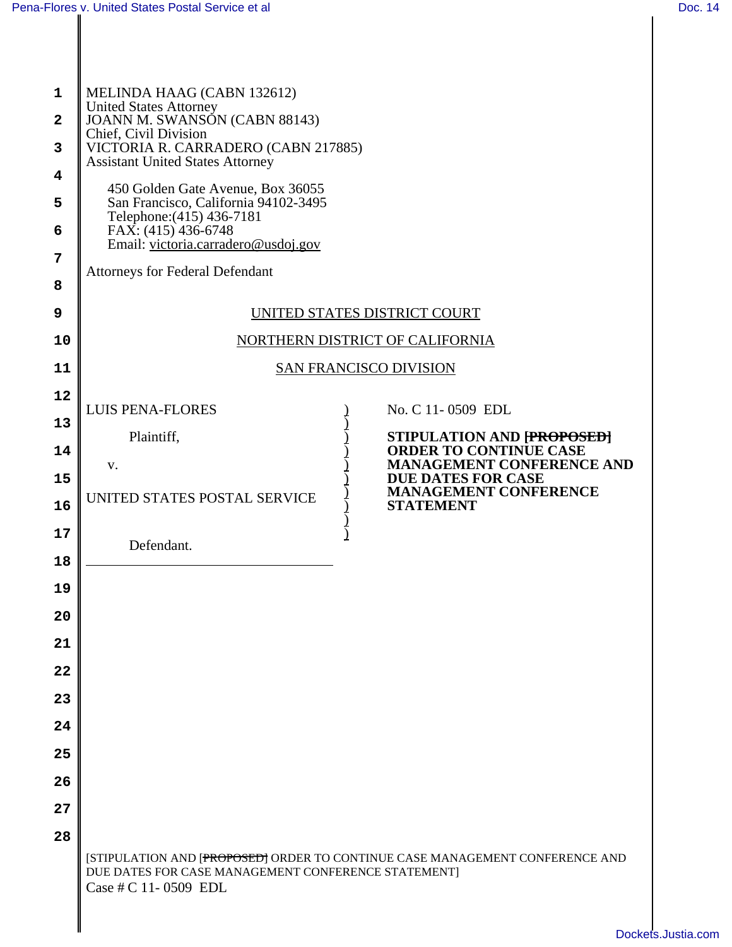## [Pena-Flores v. United States Postal Service et al](http://dockets.justia.com/docket/california/candce/3:2011cv00509/236800/) [Doc. 14](http://docs.justia.com/cases/federal/district-courts/california/candce/3:2011cv00509/236800/14/)<br>
Doc. 14

| 1<br>$\mathbf{2}$<br>3<br>4<br>5<br>6<br>7<br>8<br>9<br>10                             | MELINDA HAAG (CABN 132612)<br><b>United States Attorney</b><br>JOANN M. SWANSÓN (CABN 88143)<br>Chief, Civil Division<br>VICTORIA R. CARRADERO (CABN 217885)<br><b>Assistant United States Attorney</b><br>450 Golden Gate Avenue, Box 36055<br>San Francisco, California 94102-3495<br>Telephone: (415) 436-7181<br>FAX: (415) 436-6748<br>Email: victoria.carradero@usdoj.gov<br><b>Attorneys for Federal Defendant</b><br>UNITED STATES DISTRICT COURT<br>NORTHERN DISTRICT OF CALIFORNIA |  |  |
|----------------------------------------------------------------------------------------|----------------------------------------------------------------------------------------------------------------------------------------------------------------------------------------------------------------------------------------------------------------------------------------------------------------------------------------------------------------------------------------------------------------------------------------------------------------------------------------------|--|--|
| 11                                                                                     | <b>SAN FRANCISCO DIVISION</b>                                                                                                                                                                                                                                                                                                                                                                                                                                                                |  |  |
| 12<br>13<br>14<br>15<br>16<br>17<br>18<br>19<br>20<br>21<br>22<br>23<br>24<br>25<br>26 | <b>LUIS PENA-FLORES</b><br>No. C 11-0509 EDL<br>Plaintiff,<br>STIPULATION AND [PROPOSED]<br><b>ORDER TO CONTINUE CASE</b><br><b>MANAGEMENT CONFERENCE AND</b><br>V.<br><b>DUE DATES FOR CASE</b><br><b>MANAGEMENT CONFERENCE</b><br>UNITED STATES POSTAL SERVICE<br><b>STATEMENT</b><br>$\big)$<br>Defendant.                                                                                                                                                                                |  |  |
| 27<br>28                                                                               | [STIPULATION AND [PROPOSED] ORDER TO CONTINUE CASE MANAGEMENT CONFERENCE AND<br>DUE DATES FOR CASE MANAGEMENT CONFERENCE STATEMENT]<br>Case # C 11-0509 EDL                                                                                                                                                                                                                                                                                                                                  |  |  |
|                                                                                        | Dook.                                                                                                                                                                                                                                                                                                                                                                                                                                                                                        |  |  |